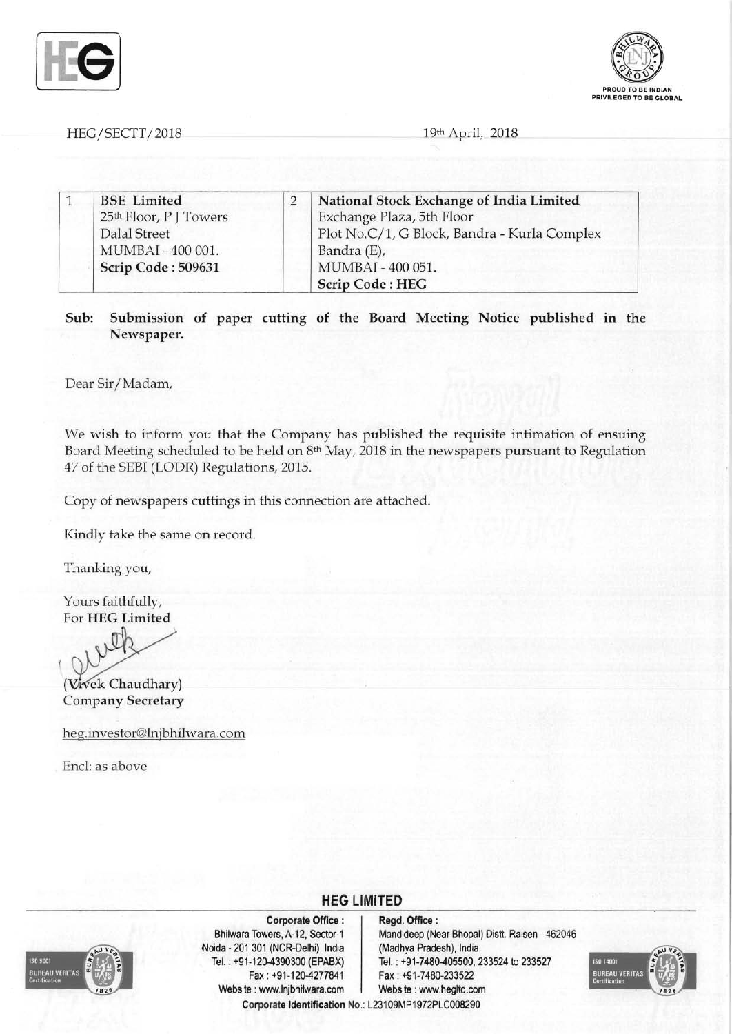



HEG/SECTT/2018 19th April. 2018

|  | <b>BSE</b> Limited<br>25th Floor, P J Towers | National Stock Exchange of India Limited     |
|--|----------------------------------------------|----------------------------------------------|
|  |                                              | Exchange Plaza, 5th Floor                    |
|  | Dalal Street                                 | Plot No.C/1, G Block, Bandra - Kurla Complex |
|  | MUMBAI - 400 001.                            | Bandra (E),                                  |
|  | Scrip Code: 509631                           | MUMBAI - 400 051.                            |
|  |                                              | Scrip Code: HEG                              |

Sub: Submission of paper cutting of the Board Meeting Notice published in the Newspaper.

Dear Sir/Madam,

We wish to inform you that the Company has published the requisite intimation of ensuing Board Meeting scheduled to be held on  $8<sup>th</sup>$  May, 2018 in the newspapers pursuant to Regulation 47 of the SEBI (LODR) Regulations, 2015.

**HEG LIMITED** 

Copy of newspapers cuttings in this connection are attached.

Kindly take the same on record.

Thanking you,

Yours faithfully, For HEG Limited

(Vivek Chaudhary) Company Secretary

heg.investor@lnjbhilwara.com

Encl: as above



Corporate Office : | Regd. Office : Noida 201 301 (NCR-Delhi), India (Madhya Pradesh), India Fax: +91-120-4277841 Fax: +91-7480-233522 Website : www.lnjbhilwara.com | Website : www.hegltd.com

Bhilwara Towers, A-12, Sector-1 Mandideep (Near Bhopal) Distt. Raisen - 462046 Tel. : +91-120-4390300 (EPABX) Tel. : +91-7480-405500, 233524 to 233527 Corporate Identification No.: L23109MP1972PLC008290

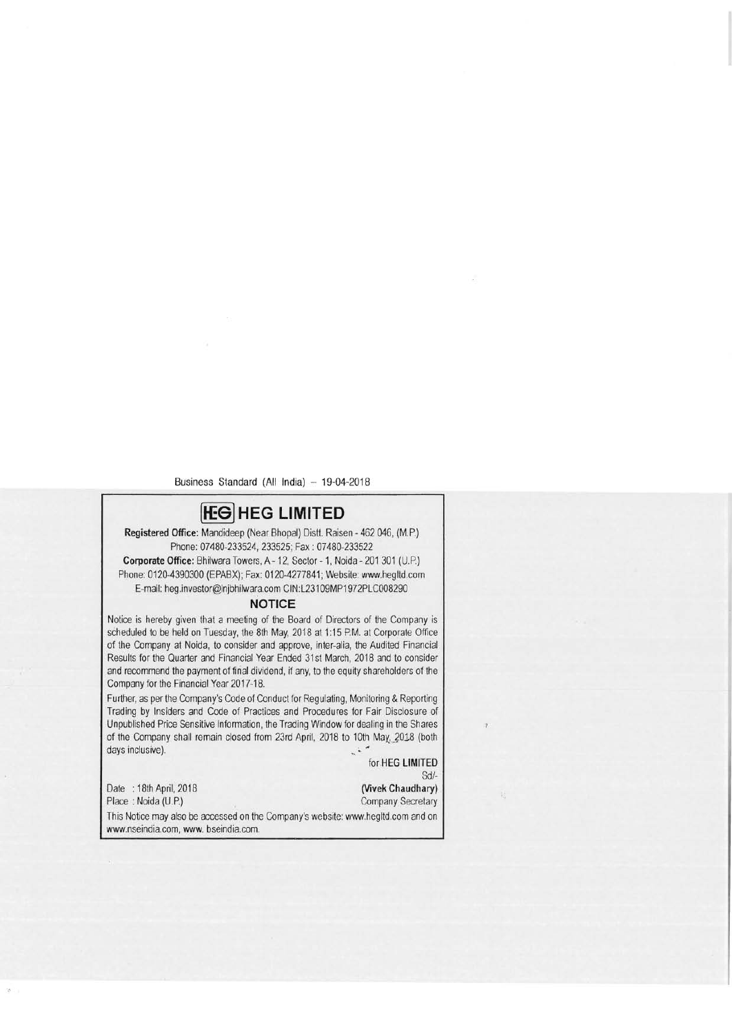Business Standard (All India) - 19-04-2018

# **(f£S] HEG LIMITED**

**Registered Office:** Mandideep (Near Bhopal) Distt. Raisen - 462 046, (M.P.) Phone: 07480-233524, 233525; Fax: 07480-233522

**Corporate Office:** Bhilwara Towers, A - 12, Sector - 1, Noida - 201 301 (U.P.) Phone: 0120-4390300 (EPABX); Fax: 0120-4277841; Website: www.hegltd.com E-mail: heg.investor@lnjbhilwara.com CIN: L231 09MP1972PLC008290

#### **NOTICE**

Notice is hereby given that a meeting of the Board of Directors of the Company is scheduled to be held on Tuesday, the 8th May, 2018 at 1:15 P.M. at Corporate Office of the Company at Noida, to consider and approve, inter-alia, the Audited Financial Results for the Quarter and Financial Year Ended 31st March, 2018 and to consider and recommend the payment of final dividend, if any, to the equity shareholders of the Company for the Financial Year 2017-18.

Further, as per the Company's Code of Conduct for Regulating, Monitoring & Reporting Trading by Insiders and Code of Practices and Procedures for Fair Disclosure of Unpublished Price Sensitive Information, the Trading Window for dealing in the Shares of the Company shall remain closed from 23rd April, 2018 to 10th May, 2018 (both days inclusive).

for **HEG LIMITED** 

Sd/-<br>(Vivek Chaudhary) Date : 18th April, 2018 Place : Noida (U.P.) Company Secretary This Notice may also be accessed on the Company's website: www.hegltd.com and on www.nseindia.com, www. bseindia.com.